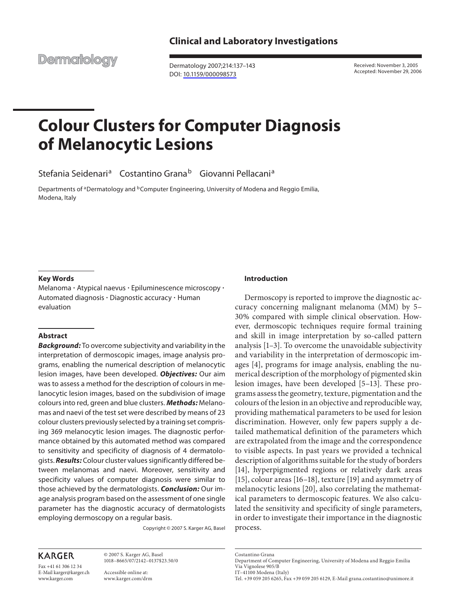**Clinical and Laboratory Investigations** 

**Dermatology** 

 Dermatology 2007;214:137–143 DOI: [10.1159/000098573](http://dx.doi.org/10.1159%2F000098573)

 Received: November 3, 2005 Accepted: November 29, 2006

# **Colour Clusters for Computer Diagnosis of Melanocytic Lesions**

Stefania Seidenari<sup>a</sup> Costantino Grana<sup>b</sup> Giovanni Pellacani<sup>a</sup>

Departments of <sup>a</sup>Dermatology and <sup>b</sup>Computer Engineering, University of Modena and Reggio Emilia, Modena, Italy

# **Key Words**

Melanoma  $\cdot$  Atypical naevus  $\cdot$  Epiluminescence microscopy  $\cdot$ Automated diagnosis  $\cdot$  Diagnostic accuracy  $\cdot$  Human evaluation

# **Abstract**

 *Background:* To overcome subjectivity and variability in the interpretation of dermoscopic images, image analysis programs, enabling the numerical description of melanocytic lesion images, have been developed. *Objectives:* Our aim was to assess a method for the description of colours in melanocytic lesion images, based on the subdivision of image colours into red, green and blue clusters. *Methods:* Melanomas and naevi of the test set were described by means of 23 colour clusters previously selected by a training set comprising 369 melanocytic lesion images. The diagnostic performance obtained by this automated method was compared to sensitivity and specificity of diagnosis of 4 dermatologists. *Results:* Colour cluster values significantly differed between melanomas and naevi. Moreover, sensitivity and specificity values of computer diagnosis were similar to those achieved by the dermatologists. *Conclusion:* Our image analysis program based on the assessment of one single parameter has the diagnostic accuracy of dermatologists employing dermoscopy on a regular basis.

Copyright © 2007 S. Karger AG, Basel

# **KARGER**

Fax +41 61 306 12 34 E-Mail karger@karger.ch www.karger.com

 © 2007 S. Karger AG, Basel 1018–8665/07/2142–0137\$23.50/0

 Accessible online at: www.karger.com/drm

# **Introduction**

 Dermoscopy is reported to improve the diagnostic accuracy concerning malignant melanoma (MM) by 5– 30% compared with simple clinical observation. However, dermoscopic techniques require formal training and skill in image interpretation by so-called pattern analysis  $[1-3]$ . To overcome the unavoidable subjectivity and variability in the interpretation of dermoscopic images  $[4]$ , programs for image analysis, enabling the numerical description of the morphology of pigmented skin lesion images, have been developed [5–13]. These programs assess the geometry, texture, pigmentation and the colours of the lesion in an objective and reproducible way, providing mathematical parameters to be used for lesion discrimination. However, only few papers supply a detailed mathematical definition of the parameters which are extrapolated from the image and the correspondence to visible aspects. In past years we provided a technical description of algorithms suitable for the study of borders [14], hyperpigmented regions or relatively dark areas [15], colour areas [16–18], texture [19] and asymmetry of melanocytic lesions [20], also correlating the mathematical parameters to dermoscopic features. We also calculated the sensitivity and specificity of single parameters, in order to investigate their importance in the diagnostic process.

Costantino Grana

 Department of Computer Engineering, University of Modena and Reggio Emilia Via Vignolese 905/B

IT–41100 Modena (Italy)

Tel. +39 059 205 6265, Fax +39 059 205 6129, E-Mail grana.costantino@unimore.it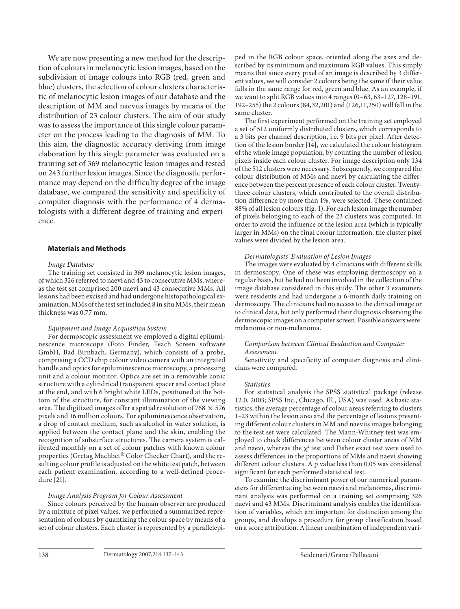We are now presenting a new method for the description of colours in melanocytic lesion images, based on the subdivision of image colours into RGB (red, green and blue) clusters, the selection of colour clusters characteristic of melanocytic lesion images of our database and the description of MM and naevus images by means of the distribution of 23 colour clusters. The aim of our study was to assess the importance of this single colour parameter on the process leading to the diagnosis of MM. To this aim, the diagnostic accuracy deriving from image elaboration by this single parameter was evaluated on a training set of 369 melanocytic lesion images and tested on 243 further lesion images. Since the diagnostic performance may depend on the difficulty degree of the image database, we compared the sensitivity and specificity of computer diagnosis with the performance of 4 dermatologists with a different degree of training and experience.

# **Materials and Methods**

#### *Image Database*

 The training set consisted in 369 melanocytic lesion images, of which 326 referred to naevi and 43 to consecutive MMs, whereas the test set comprised 200 naevi and 43 consecutive MMs. All lesions had been excised and had undergone histopathological examination. MMs of the test set included 8 in situ MMs; their mean thickness was 0.77 mm.

#### *Equipment and Image Acquisition System*

 For dermoscopic assessment we employed a digital epiluminescence microscope (Foto Finder, Teach Screen software GmbH, Bad Birnbach, Germany), which consists of a probe, comprising a CCD chip colour video camera with an integrated handle and optics for epiluminescence microscopy, a processing unit and a colour monitor. Optics are set in a removable conic structure with a cylindrical transparent spacer and contact plate at the end, and with 6 bright white LEDs, positioned at the bottom of the structure, for constant illumination of the viewing area. The digitized images offer a spatial resolution of 768  $\times$  576 pixels and 16 million colours. For epiluminescence observation, a drop of contact medium, such as alcohol in water solution, is applied between the contact plane and the skin, enabling the recognition of subsurface structures. The camera system is calibrated monthly on a set of colour patches with known colour properties (Gretag Machbet® Color Checker Chart), and the resulting colour profile is adjusted on the white test patch, between each patient examination, according to a well-defined procedure  $\overline{[21]}$ .

## *Image Analysis Program for Colour Assessment*

 Since colours perceived by the human observer are produced by a mixture of pixel values, we performed a summarized representation of colours by quantizing the colour space by means of a set of colour clusters. Each cluster is represented by a parallelepiped in the RGB colour space, oriented along the axes and described by its minimum and maximum RGB values. This simply means that since every pixel of an image is described by 3 different values, we will consider 2 colours being the same if their value falls in the same range for red, green and blue. As an example, if we want to split RGB values into 4 ranges (0–63, 63–127, 128–191, 192–255) the 2 colours (84,32,201) and (126,11,250) will fall in the same cluster.

 The first experiment performed on the training set employed a set of 512 uniformly distributed clusters, which corresponds to a 3 bits per channel description, i.e. 9 bits per pixel. After detection of the lesion border [14] , we calculated the colour histogram of the whole image population, by counting the number of lesion pixels inside each colour cluster. For image description only 134 of the 512 clusters were necessary. Subsequently, we compared the colour distribution of MMs and naevi by calculating the difference between the percent presence of each colour cluster. Twentythree colour clusters, which contributed to the overall distribution difference by more than 1%, were selected. These contained 88% of all lesion colours (fig. 1). For each lesion image the number of pixels belonging to each of the 23 clusters was computed. In order to avoid the influence of the lesion area (which is typically larger in MMs) on the final colour information, the cluster pixel values were divided by the lesion area.

#### *Dermatologists' Evaluation of Lesion Images*

 The images were evaluated by 4 clinicians with different skills in dermoscopy. One of these was employing dermoscopy on a regular basis, but he had not been involved in the collection of the image database considered in this study. The other 3 examiners were residents and had undergone a 6-month daily training on dermoscopy. The clinicians had no access to the clinical image or to clinical data, but only performed their diagnosis observing the dermoscopic images on a computer screen. Possible answers were: melanoma or non-melanoma.

#### *Comparison between Clinical Evaluation and Computer Assessment*

 Sensitivity and specificity of computer diagnosis and clinicians were compared.

#### *Statistics*

 For statistical analysis the SPSS statistical package (release 12.0, 2003; SPSS Inc., Chicago, Ill., USA) was used. As basic statistics, the average percentage of colour areas referring to clusters 1–23 within the lesion area and the percentage of lesions presenting different colour clusters in MM and naevus images belonging to the test set were calculated. The Mann-Whitney test was employed to check differences between colour cluster areas of MM and naevi, whereas the  $\chi^2$  test and Fisher exact test were used to assess differences in the proportions of MMs and naevi showing different colour clusters. A p value less than 0.05 was considered significant for each performed statistical test.

 To examine the discriminant power of our numerical parameters for differentiating between naevi and melanomas, discriminant analysis was performed on a training set comprising 326 naevi and 43 MMs. Discriminant analysis enables the identification of variables, which are important for distinction among the groups, and develops a procedure for group classification based on a score attribution. A linear combination of independent vari-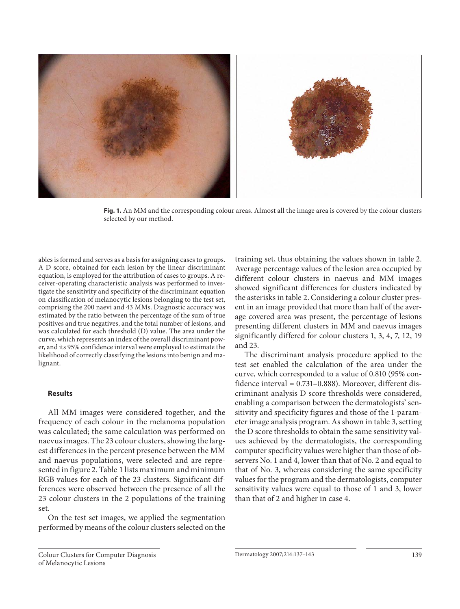

 **Fig. 1.** An MM and the corresponding colour areas. Almost all the image area is covered by the colour clusters selected by our method.

ables is formed and serves as a basis for assigning cases to groups. A D score, obtained for each lesion by the linear discriminant equation, is employed for the attribution of cases to groups. A receiver-operating characteristic analysis was performed to investigate the sensitivity and specificity of the discriminant equation on classification of melanocytic lesions belonging to the test set, comprising the 200 naevi and 43 MMs. Diagnostic accuracy was estimated by the ratio between the percentage of the sum of true positives and true negatives, and the total number of lesions, and was calculated for each threshold (D) value. The area under the curve, which represents an index of the overall discriminant power, and its 95% confidence interval were employed to estimate the likelihood of correctly classifying the lesions into benign and malignant.

#### **Results**

 All MM images were considered together, and the frequency of each colour in the melanoma population was calculated; the same calculation was performed on naevus images. The 23 colour clusters, showing the largest differences in the percent presence between the MM and naevus populations, were selected and are represented in figure 2. Table 1 lists maximum and minimum RGB values for each of the 23 clusters. Significant differences were observed between the presence of all the 23 colour clusters in the 2 populations of the training set.

 On the test set images, we applied the segmentation performed by means of the colour clusters selected on the training set, thus obtaining the values shown in table 2. Average percentage values of the lesion area occupied by different colour clusters in naevus and MM images showed significant differences for clusters indicated by the asterisks in table 2. Considering a colour cluster present in an image provided that more than half of the average covered area was present, the percentage of lesions presenting different clusters in MM and naevus images significantly differed for colour clusters 1, 3, 4, 7, 12, 19 and 23.

 The discriminant analysis procedure applied to the test set enabled the calculation of the area under the curve, which corresponded to a value of 0.810 (95% confidence interval = 0.731–0.888). Moreover, different discriminant analysis D score thresholds were considered, enabling a comparison between the dermatologists' sensitivity and specificity figures and those of the 1-parameter image analysis program. As shown in table 3, setting the D score thresholds to obtain the same sensitivity values achieved by the dermatologists, the corresponding computer specificity values were higher than those of observers No. 1 and 4, lower than that of No. 2 and equal to that of No. 3, whereas considering the same specificity values for the program and the dermatologists, computer sensitivity values were equal to those of 1 and 3, lower than that of 2 and higher in case 4.

Colour Clusters for Computer Diagnosis of Melanocytic Lesions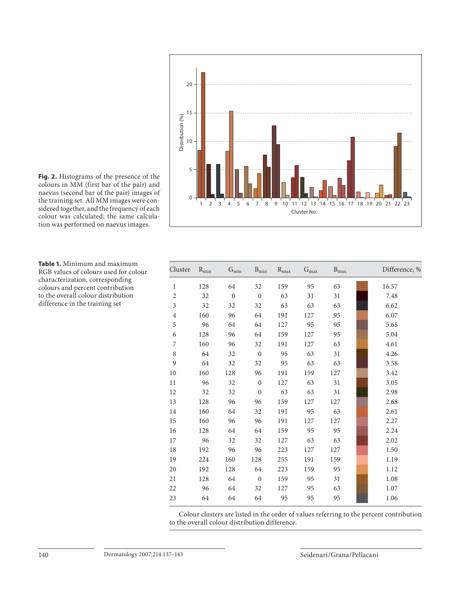

 **Fig. 2.** Histograms of the presence of the colours in MM (first bar of the pair) and naevus (second bar of the pair) images of the training set. All MM images were considered together, and the frequency of each colour was calculated; the same calculation was performed on naevus images.

 **Table 1.** Minimum and maximum RGB values of colours used for colour characterization, corresponding colours and percent contribution to the overall colour distribution difference in the training set

| Cluster        | $R_{min}$ | $G_{min}$    | $B_{\rm min}$ | $R_{\rm max}$ | $G_{max}$ | $B_{\rm max}$ | Difference, % |
|----------------|-----------|--------------|---------------|---------------|-----------|---------------|---------------|
| $\mathbf{1}$   | 128       | 64           | 32            | 159           | 95        | 63            | 16.57         |
| $\overline{2}$ | 32        | $\mathbf{0}$ | $\mathbf{0}$  | 63            | 31        | 31            | 7.48          |
| 3              | 32        | 32           | 32            | 63            | 63        | 63            | 6.62          |
| $\overline{4}$ | 160       | 96           | 64            | 191           | 127       | 95            | 6.07          |
| 5              | 96        | 64           | 64            | 127           | 95        | 95            | 5.65          |
| 6              | 128       | 96           | 64            | 159           | 127       | 95            | 5.04          |
| 7              | 160       | 96           | 32            | 191           | 127       | 63            | 4.61          |
| 8              | 64        | 32           | $\mathbf{0}$  | 95            | 63        | 31            | 4.26          |
| 9              | 64        | 32           | 32            | 95            | 63        | 63            | 3.58          |
| 10             | 160       | 128          | 96            | 191           | 159       | 127           | 3.42          |
| 11             | 96        | 32           | $\mathbf{0}$  | 127           | 63        | 31            | 3.05          |
| 12             | 32        | 32           | $\mathbf{0}$  | 63            | 63        | 31            | 2.98          |
| 13             | 128       | 96           | 96            | 159           | 127       | 127           | 2.68          |
| 14             | 160       | 64           | 32            | 191           | 95        | 63            | 2.61          |
| 15             | 160       | 96           | 96            | 191           | 127       | 127           | 2.27          |
| 16             | 128       | 64           | 64            | 159           | 95        | 95            | 2.24          |
| 17             | 96        | 32           | 32            | 127           | 63        | 63            | 2.02          |
| 18             | 192       | 96           | 96            | 223           | 127       | 127           | 1.50          |
| 19             | 224       | 160          | 128           | 255           | 191       | 159           | 1.19          |
| 20             | 192       | 128          | 64            | 223           | 159       | 95            | 1.12          |
| 21             | 128       | 64           | $\mathbf{0}$  | 159           | 95        | 31            | 1.08          |
| 22             | 96        | 64           | 32            | 127           | 95        | 63            | 1.07          |
| 23             | 64        | 64           | 64            | 95            | 95        | 95            | 1.06          |

Colour clusters are listed in the order of values referring to the percent contribution to the overall colour distribution difference.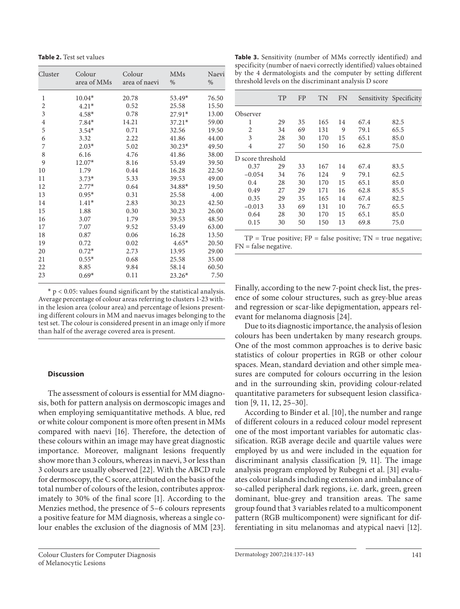**Table 2.** Test set values

| Cluster                 | Colour<br>area of MMs | Colour<br>area of naevi | <b>MMs</b><br>$\frac{0}{0}$ | Naevi<br>$\frac{0}{0}$ |
|-------------------------|-----------------------|-------------------------|-----------------------------|------------------------|
| 1                       | $10.04*$              | 20.78                   | $53.49*$                    | 76.50                  |
| $\overline{2}$          | $4.21*$               | 0.52                    | 25.58                       | 15.50                  |
| $\overline{3}$          | $4.58*$               | 0.78                    | $27.91*$                    | 13.00                  |
| $\overline{\mathbf{4}}$ | $7.84*$               | 14.21                   | $37.21*$                    | 59.00                  |
| 5                       | $3.54*$               | 0.71                    | 32.56                       | 19.50                  |
| 6                       | 3.32                  | 2.22                    | 41.86                       | 44.00                  |
| 7                       | $2.03*$               | 5.02                    | $30.23*$                    | 49.50                  |
| 8                       | 6.16                  | 4.76                    | 41.86                       | 38.00                  |
| 9                       | $12.07*$              | 8.16                    | 53.49                       | 39.50                  |
| 10                      | 1.79                  | 0.44                    | 16.28                       | 22.50                  |
| 11                      | $3.73*$               | 5.33                    | 39.53                       | 49.00                  |
| 12                      | $2.77*$               | 0.64                    | 34.88*                      | 19.50                  |
| 13                      | $0.95*$               | 0.31                    | 25.58                       | 4.00                   |
| 14                      | $1.41*$               | 2.83                    | 30.23                       | 42.50                  |
| 15                      | 1.88                  | 0.30                    | 30.23                       | 26.00                  |
| 16                      | 3.07                  | 1.79                    | 39.53                       | 48.50                  |
| 17                      | 7.07                  | 9.52                    | 53.49                       | 63.00                  |
| 18                      | 0.87                  | 0.06                    | 16.28                       | 13.50                  |
| 19                      | 0.72                  | 0.02                    | $4.65*$                     | 20.50                  |
| 20                      | $0.72*$               | 2.73                    | 13.95                       | 29.00                  |
| 21                      | $0.55*$               | 0.68                    | 25.58                       | 35.00                  |
| 22                      | 8.85                  | 9.84                    | 58.14                       | 60.50                  |
| 23                      | $0.69*$               | 0.11                    | $23.26*$                    | 7.50                   |
|                         |                       |                         |                             |                        |

 $*$  p < 0.05: values found significant by the statistical analysis. Average percentage of colour areas referring to clusters 1-23 within the lesion area (colour area) and percentage of lesions presenting different colours in MM and naevus images belonging to the test set. The colour is considered present in an image only if more than half of the average covered area is present.

## **Discussion**

 The assessment of colours is essential for MM diagnosis, both for pattern analysis on dermoscopic images and when employing semiquantitative methods. A blue, red or white colour component is more often present in MMs compared with naevi [16]. Therefore, the detection of these colours within an image may have great diagnostic importance. Moreover, malignant lesions frequently show more than 3 colours, whereas in naevi, 3 or less than 3 colours are usually observed [22] . With the ABCD rule for dermoscopy, the C score, attributed on the basis of the total number of colours of the lesion, contributes approximately to 30% of the final score [1]. According to the Menzies method, the presence of 5–6 colours represents a positive feature for MM diagnosis, whereas a single colour enables the exclusion of the diagnosis of MM [23] .

 **Table 3.** Sensitivity (number of MMs correctly identified) and specificity (number of naevi correctly identified) values obtained by the 4 dermatologists and the computer by setting different threshold levels on the discriminant analysis D score

|                   | TP | <b>FP</b> | TN  | <b>FN</b> |      | Sensitivity Specificity |
|-------------------|----|-----------|-----|-----------|------|-------------------------|
| Observer          |    |           |     |           |      |                         |
| 1                 | 29 | 35        | 165 | 14        | 67.4 | 82.5                    |
| $\overline{2}$    | 34 | 69        | 131 | 9         | 79.1 | 65.5                    |
| 3                 | 28 | 30        | 170 | 15        | 65.1 | 85.0                    |
| 4                 | 27 | 50        | 150 | 16        | 62.8 | 75.0                    |
| D score threshold |    |           |     |           |      |                         |
| 0.37              | 29 | 33        | 167 | 14        | 67.4 | 83.5                    |
| $-0.054$          | 34 | 76        | 124 | 9         | 79.1 | 62.5                    |
| 0.4               | 28 | 30        | 170 | 15        | 65.1 | 85.0                    |
| 0.49              | 27 | 29        | 171 | 16        | 62.8 | 85.5                    |
| 0.35              | 29 | 35        | 165 | 14        | 67.4 | 82.5                    |
| $-0.013$          | 33 | 69        | 131 | 10        | 76.7 | 65.5                    |
| 0.64              | 28 | 30        | 170 | 15        | 65.1 | 85.0                    |
| 0.15              | 30 | 50        | 150 | 13        | 69.8 | 75.0                    |

 $TP = True$  positive;  $FP = false$  positive;  $TN = true$  negative; FN = false negative.

Finally, according to the new 7-point check list, the presence of some colour structures, such as grey-blue areas and regression or scar-like depigmentation, appears relevant for melanoma diagnosis [24] .

 Due to its diagnostic importance, the analysis of lesion colours has been undertaken by many research groups. One of the most common approaches is to derive basic statistics of colour properties in RGB or other colour spaces. Mean, standard deviation and other simple measures are computed for colours occurring in the lesion and in the surrounding skin, providing colour-related quantitative parameters for subsequent lesion classification [9, 11, 12, 25-30].

According to Binder et al. [10], the number and range of different colours in a reduced colour model represent one of the most important variables for automatic classification. RGB average decile and quartile values were employed by us and were included in the equation for discriminant analysis classification [9, 11]. The image analysis program employed by Rubegni et al. [31] evaluates colour islands including extension and imbalance of so-called peripheral dark regions, i.e. dark, green, green dominant, blue-grey and transition areas. The same group found that 3 variables related to a multicomponent pattern (RGB multicomponent) were significant for differentiating in situ melanomas and atypical naevi [12] .

Dermatology 2007;214:137-143 141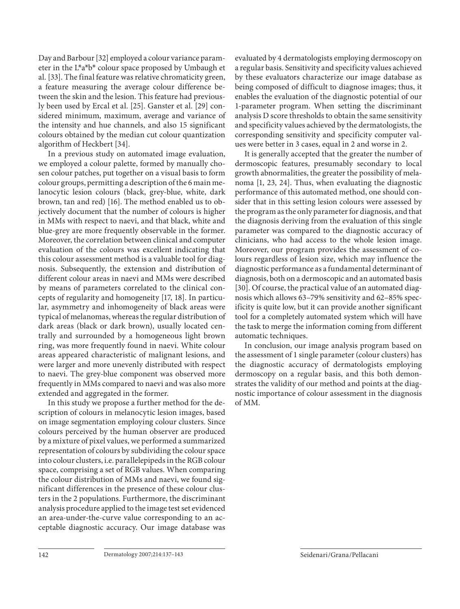Day and Barbour [32] employed a colour variance parameter in the L\*a\*b\* colour space proposed by Umbaugh et al. [33]. The final feature was relative chromaticity green, a feature measuring the average colour difference between the skin and the lesion. This feature had previously been used by Ercal et al. [25] . Ganster et al. [29] considered minimum, maximum, average and variance of the intensity and hue channels, and also 15 significant colours obtained by the median cut colour quantization algorithm of Heckbert [34] .

 In a previous study on automated image evaluation, we employed a colour palette, formed by manually chosen colour patches, put together on a visual basis to form colour groups, permitting a description of the 6 main melanocytic lesion colours (black, grey-blue, white, dark brown, tan and red) [16]. The method enabled us to objectively document that the number of colours is higher in MMs with respect to naevi, and that black, white and blue-grey are more frequently observable in the former. Moreover, the correlation between clinical and computer evaluation of the colours was excellent indicating that this colour assessment method is a valuable tool for diagnosis. Subsequently, the extension and distribution of different colour areas in naevi and MMs were described by means of parameters correlated to the clinical concepts of regularity and homogeneity [17, 18]. In particular, asymmetry and inhomogeneity of black areas were typical of melanomas, whereas the regular distribution of dark areas (black or dark brown), usually located centrally and surrounded by a homogeneous light brown ring, was more frequently found in naevi. White colour areas appeared characteristic of malignant lesions, and were larger and more unevenly distributed with respect to naevi. The grey-blue component was observed more frequently in MMs compared to naevi and was also more extended and aggregated in the former.

 In this study we propose a further method for the description of colours in melanocytic lesion images, based on image segmentation employing colour clusters. Since colours perceived by the human observer are produced by a mixture of pixel values, we performed a summarized representation of colours by subdividing the colour space into colour clusters, i.e. parallelepipeds in the RGB colour space, comprising a set of RGB values. When comparing the colour distribution of MMs and naevi, we found significant differences in the presence of these colour clusters in the 2 populations. Furthermore, the discriminant analysis procedure applied to the image test set evidenced an area-under-the-curve value corresponding to an acceptable diagnostic accuracy. Our image database was evaluated by 4 dermatologists employing dermoscopy on a regular basis. Sensitivity and specificity values achieved by these evaluators characterize our image database as being composed of difficult to diagnose images; thus, it enables the evaluation of the diagnostic potential of our 1-parameter program. When setting the discriminant analysis D score thresholds to obtain the same sensitivity and specificity values achieved by the dermatologists, the corresponding sensitivity and specificity computer values were better in 3 cases, equal in 2 and worse in 2.

 It is generally accepted that the greater the number of dermoscopic features, presumably secondary to local growth abnormalities, the greater the possibility of melanoma [1, 23, 24]. Thus, when evaluating the diagnostic performance of this automated method, one should consider that in this setting lesion colours were assessed by the program as the only parameter for diagnosis, and that the diagnosis deriving from the evaluation of this single parameter was compared to the diagnostic accuracy of clinicians, who had access to the whole lesion image. Moreover, our program provides the assessment of colours regardless of lesion size, which may influence the diagnostic performance as a fundamental determinant of diagnosis, both on a dermoscopic and an automated basis [30]. Of course, the practical value of an automated diagnosis which allows 63–79% sensitivity and 62–85% specificity is quite low, but it can provide another significant tool for a completely automated system which will have the task to merge the information coming from different automatic techniques.

 In conclusion, our image analysis program based on the assessment of 1 single parameter (colour clusters) has the diagnostic accuracy of dermatologists employing dermoscopy on a regular basis, and this both demonstrates the validity of our method and points at the diagnostic importance of colour assessment in the diagnosis of MM.